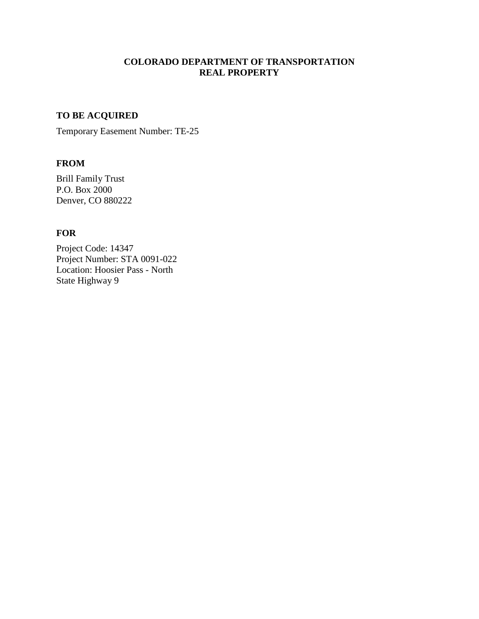## **COLORADO DEPARTMENT OF TRANSPORTATION REAL PROPERTY**

# **TO BE ACQUIRED**

Temporary Easement Number: TE-25

#### **FROM**

Brill Family Trust P.O. Box 2000 Denver, CO 880222

# **FOR**

Project Code: 14347 Project Number: STA 0091-022 Location: Hoosier Pass - North State Highway 9